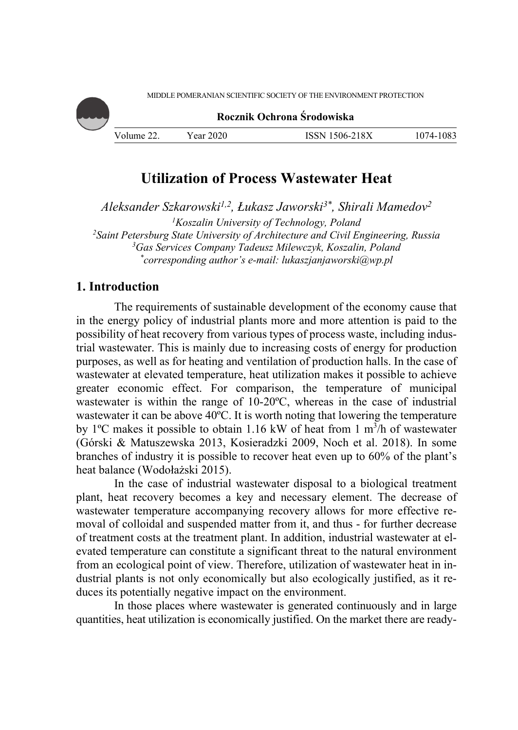

**Rocznik Ochrona Środowiska**

| Volume 22. | Year 2020 | 1506-218X | 1083<br>1074- |
|------------|-----------|-----------|---------------|

# **Utilization of Process Wastewater Heat**

*Aleksander Szkarowski1,2, Łukasz Jaworski3\*, Shirali Mamedov2* <sup>1</sup>Koszalin University of Technology, Poland *Koszalin University of Technology, Poland*<br><sup>2</sup>Saint Patarshurg State University of Architecture and Civil En *Saint Petersburg State University of Architecture and Civil Engineering, Russia 3 Gas Services Company Tadeusz Milewczyk, Koszalin, Poland \* corresponding author's e-mail: lukaszjanjaworski@wp.pl* 

# **1. Introduction**

The requirements of sustainable development of the economy cause that in the energy policy of industrial plants more and more attention is paid to the possibility of heat recovery from various types of process waste, including industrial wastewater. This is mainly due to increasing costs of energy for production purposes, as well as for heating and ventilation of production halls. In the case of wastewater at elevated temperature, heat utilization makes it possible to achieve greater economic effect. For comparison, the temperature of municipal wastewater is within the range of 10-20ºC, whereas in the case of industrial wastewater it can be above 40ºC. It is worth noting that lowering the temperature by 1<sup>o</sup>C makes it possible to obtain 1.16 kW of heat from 1 m<sup>3</sup>/h of wastewater (Górski & Matuszewska 2013, Kosieradzki 2009, Noch et al. 2018). In some branches of industry it is possible to recover heat even up to 60% of the plant's heat balance (Wodołażski 2015).

In the case of industrial wastewater disposal to a biological treatment plant, heat recovery becomes a key and necessary element. The decrease of wastewater temperature accompanying recovery allows for more effective removal of colloidal and suspended matter from it, and thus - for further decrease of treatment costs at the treatment plant. In addition, industrial wastewater at elevated temperature can constitute a significant threat to the natural environment from an ecological point of view. Therefore, utilization of wastewater heat in industrial plants is not only economically but also ecologically justified, as it reduces its potentially negative impact on the environment.

In those places where wastewater is generated continuously and in large quantities, heat utilization is economically justified. On the market there are ready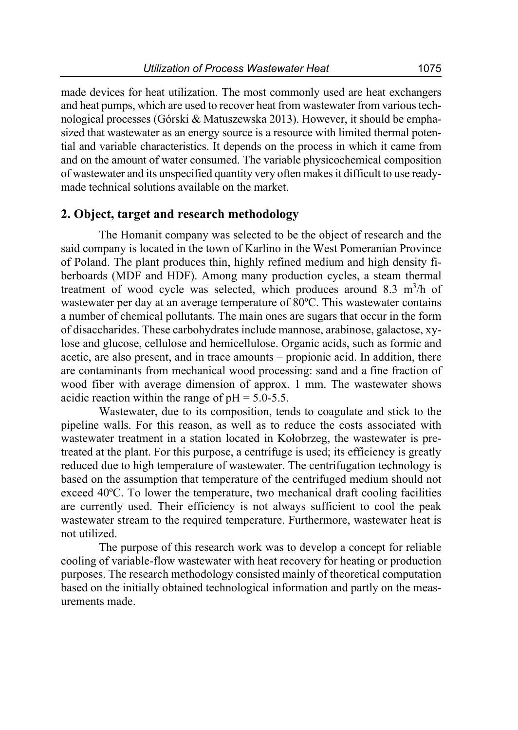made devices for heat utilization. The most commonly used are heat exchangers and heat pumps, which are used to recover heat from wastewater from various technological processes (Górski & Matuszewska 2013). However, it should be emphasized that wastewater as an energy source is a resource with limited thermal potential and variable characteristics. It depends on the process in which it came from and on the amount of water consumed. The variable physicochemical composition of wastewater and its unspecified quantity very often makes it difficult to use readymade technical solutions available on the market.

# **2. Object, target and research methodology**

The Homanit company was selected to be the object of research and the said company is located in the town of Karlino in the West Pomeranian Province of Poland. The plant produces thin, highly refined medium and high density fiberboards (MDF and HDF). Among many production cycles, a steam thermal treatment of wood cycle was selected, which produces around 8.3  $m^3/h$  of wastewater per day at an average temperature of 80ºC. This wastewater contains a number of chemical pollutants. The main ones are sugars that occur in the form of disaccharides. These carbohydrates include mannose, arabinose, galactose, xylose and glucose, cellulose and hemicellulose. Organic acids, such as formic and acetic, are also present, and in trace amounts – propionic acid. In addition, there are contaminants from mechanical wood processing: sand and a fine fraction of wood fiber with average dimension of approx. 1 mm. The wastewater shows acidic reaction within the range of  $pH = 5.0 - 5.5$ .

Wastewater, due to its composition, tends to coagulate and stick to the pipeline walls. For this reason, as well as to reduce the costs associated with wastewater treatment in a station located in Kołobrzeg, the wastewater is pretreated at the plant. For this purpose, a centrifuge is used; its efficiency is greatly reduced due to high temperature of wastewater. The centrifugation technology is based on the assumption that temperature of the centrifuged medium should not exceed 40ºC. To lower the temperature, two mechanical draft cooling facilities are currently used. Their efficiency is not always sufficient to cool the peak wastewater stream to the required temperature. Furthermore, wastewater heat is not utilized.

The purpose of this research work was to develop a concept for reliable cooling of variable-flow wastewater with heat recovery for heating or production purposes. The research methodology consisted mainly of theoretical computation based on the initially obtained technological information and partly on the measurements made.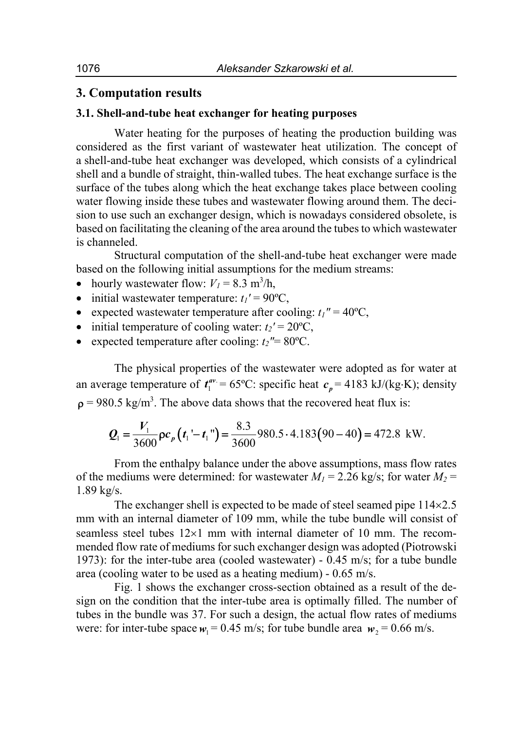# **3. Computation results**

#### **3.1. Shell-and-tube heat exchanger for heating purposes**

Water heating for the purposes of heating the production building was considered as the first variant of wastewater heat utilization. The concept of a shell-and-tube heat exchanger was developed, which consists of a cylindrical shell and a bundle of straight, thin-walled tubes. The heat exchange surface is the surface of the tubes along which the heat exchange takes place between cooling water flowing inside these tubes and wastewater flowing around them. The decision to use such an exchanger design, which is nowadays considered obsolete, is based on facilitating the cleaning of the area around the tubes to which wastewater is channeled.

Structural computation of the shell-and-tube heat exchanger were made based on the following initial assumptions for the medium streams:

- hourly wastewater flow:  $V_1 = 8.3 \text{ m}^3/\text{h}$ ,
- $\bullet$  initial wastewater temperature:  $t_1$ <sup>'</sup> = 90°C,
- expected wastewater temperature after cooling:  $t_1$ <sup>*"*</sup> = 40<sup>o</sup>C,
- $\bullet$  initial temperature of cooling water:  $t_2' = 20$ °C,
- expected temperature after cooling:  $t_2$ <sup>*"*= 80°C.</sup>

The physical properties of the wastewater were adopted as for water at an average temperature of  $t_1^{av} = 65^{\circ}\text{C}$ : specific heat  $c_p = 4183 \text{ kJ/(kg·K)}$ ; density  $p = 980.5 \text{ kg/m}^3$ . The above data shows that the recovered heat flux is:

$$
Q_{1} = \frac{V_{1}}{3600} \rho c_{p} (t_{1} - t_{1}) = \frac{8.3}{3600} 980.5 \cdot 4.183(90 - 40) = 472.8 \text{ kW}.
$$

From the enthalpy balance under the above assumptions, mass flow rates of the mediums were determined: for wastewater  $M_1 = 2.26$  kg/s; for water  $M_2 =$ 1.89 kg/s.

The exchanger shell is expected to be made of steel seamed pipe  $114 \times 2.5$ mm with an internal diameter of 109 mm, while the tube bundle will consist of seamless steel tubes  $12\times1$  mm with internal diameter of 10 mm. The recommended flow rate of mediums for such exchanger design was adopted (Piotrowski 1973): for the inter-tube area (cooled wastewater) - 0.45 m/s; for a tube bundle area (cooling water to be used as a heating medium) - 0.65 m/s.

Fig. 1 shows the exchanger cross-section obtained as a result of the design on the condition that the inter-tube area is optimally filled. The number of tubes in the bundle was 37. For such a design, the actual flow rates of mediums were: for inter-tube space  $w_1 = 0.45$  m/s; for tube bundle area  $w_2 = 0.66$  m/s.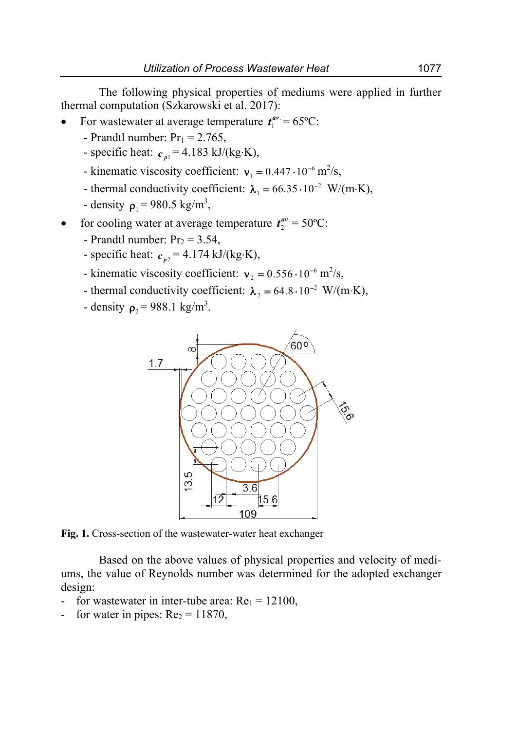The following physical properties of mediums were applied in further thermal computation (Szkarowski et al. 2017):

- For wastewater at average temperature  $t_1^{av} = 65^{\circ}$ C:
	- Prandtl number:  $Pr_1 = 2.765$ ,
	- specific heat:  $c_{nl} = 4.183 \text{ kJ/(kg·K)}$ ,
	- kinematic viscosity coefficient:  $v_1 = 0.447 \cdot 10^{-6} \text{ m}^2/\text{s}$ ,
	- thermal conductivity coefficient:  $\lambda_1 = 66.35 \cdot 10^{-2}$  W/(m·K),
	- density  $\rho_1 = 980.5 \text{ kg/m}^3$ ,
- for cooling water at average temperature  $t_2^{av} = 50^{\circ}$ C:
	- Prandtl number:  $Pr_2 = 3.54$ ,
	- specific heat:  $c_{p2} = 4.174 \text{ kJ/(kg·K)}$ ,
	- kinematic viscosity coefficient:  $v_2 = 0.556 \cdot 10^{-6} \text{ m}^2/\text{s}$ ,
	- thermal conductivity coefficient:  $\lambda_2 = 64.8 \cdot 10^{-2}$  W/(m·K),
	- density  $\rho_2 = 988.1 \text{ kg/m}^3$ .



**Fig. 1.** Cross-section of the wastewater-water heat exchanger

Based on the above values of physical properties and velocity of mediums, the value of Reynolds number was determined for the adopted exchanger design:

- for wastewater in inter-tube area:  $Re_1 = 12100$ ,
- for water in pipes:  $Re<sub>2</sub> = 11870$ ,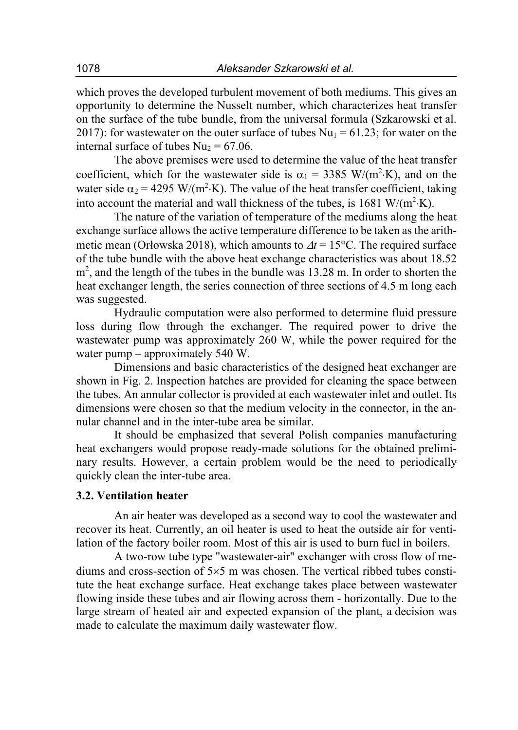which proves the developed turbulent movement of both mediums. This gives an opportunity to determine the Nusselt number, which characterizes heat transfer on the surface of the tube bundle, from the universal formula (Szkarowski et al. 2017): for wastewater on the outer surface of tubes  $Nu_1 = 61.23$ ; for water on the internal surface of tubes  $Nu_2 = 67.06$ .

The above premises were used to determine the value of the heat transfer coefficient, which for the wastewater side is  $\alpha_1 = 3385 \text{ W/(m}^2 \text{·K)}$ , and on the water side  $\alpha_2$  = 4295 W/(m<sup>2</sup>·K). The value of the heat transfer coefficient, taking into account the material and wall thickness of the tubes, is 1681 W/ $(m^2 K)$ .

The nature of the variation of temperature of the mediums along the heat exchange surface allows the active temperature difference to be taken as the arithmetic mean (Orłowska 2018), which amounts to  $\Delta t = 15^{\circ}$ C. The required surface of the tube bundle with the above heat exchange characteristics was about 18.52  $m<sup>2</sup>$ , and the length of the tubes in the bundle was 13.28 m. In order to shorten the heat exchanger length, the series connection of three sections of 4.5 m long each was suggested.

Hydraulic computation were also performed to determine fluid pressure loss during flow through the exchanger. The required power to drive the wastewater pump was approximately 260 W, while the power required for the water pump – approximately 540 W.

Dimensions and basic characteristics of the designed heat exchanger are shown in Fig. 2. Inspection hatches are provided for cleaning the space between the tubes. An annular collector is provided at each wastewater inlet and outlet. Its dimensions were chosen so that the medium velocity in the connector, in the annular channel and in the inter-tube area be similar.

It should be emphasized that several Polish companies manufacturing heat exchangers would propose ready-made solutions for the obtained preliminary results. However, a certain problem would be the need to periodically quickly clean the inter-tube area.

# **3.2. Ventilation heater**

An air heater was developed as a second way to cool the wastewater and recover its heat. Currently, an oil heater is used to heat the outside air for ventilation of the factory boiler room. Most of this air is used to burn fuel in boilers.

A two-row tube type "wastewater-air" exchanger with cross flow of mediums and cross-section of  $5\times 5$  m was chosen. The vertical ribbed tubes constitute the heat exchange surface. Heat exchange takes place between wastewater flowing inside these tubes and air flowing across them - horizontally. Due to the large stream of heated air and expected expansion of the plant, a decision was made to calculate the maximum daily wastewater flow.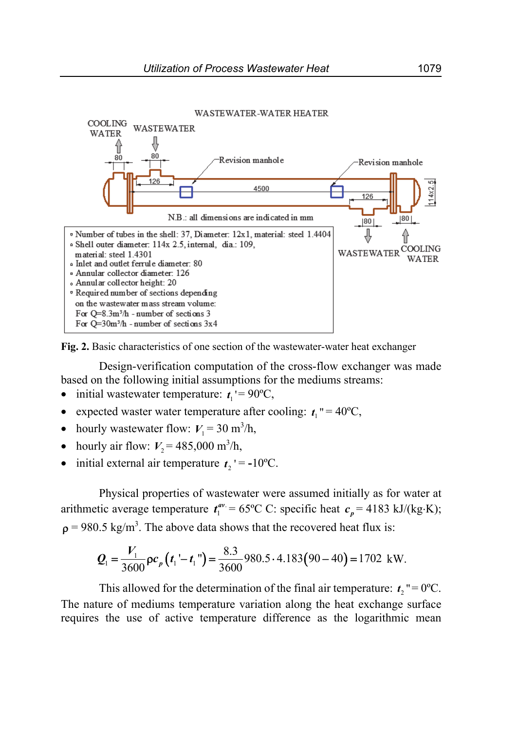

**Fig. 2.** Basic characteristics of one section of the wastewater-water heat exchanger

Design-verification computation of the cross-flow exchanger was made based on the following initial assumptions for the mediums streams:

- $\bullet$  initial wastewater temperature:  $t_1$ '= 90°C,
- expected waster water temperature after cooling:  $t_1$  " = 40°C,
- hourly wastewater flow:  $V_1 = 30 \text{ m}^3/\text{h}$ ,
- hourly air flow:  $V_2 = 485,000 \text{ m}^3/\text{h}$ ,
- $\bullet$  initial external air temperature  $t_2$  ' = -10<sup>o</sup>C.

Physical properties of wastewater were assumed initially as for water at arithmetic average temperature  $t_1^{av} = 65^{\circ}$ C C: specific heat  $c_p = 4183$  kJ/(kg·K);  $p = 980.5 \text{ kg/m}^3$ . The above data shows that the recovered heat flux is:

$$
\mathbf{Q}_{1} = \frac{V_{1}}{3600} \rho c_{p} (t_{1} - t_{1}^{*}) = \frac{8.3}{3600} 980.5 \cdot 4.183(90 - 40) = 1702 \text{ kW}.
$$

This allowed for the determination of the final air temperature:  $t_1 = 0$ <sup>o</sup>C. The nature of mediums temperature variation along the heat exchange surface requires the use of active temperature difference as the logarithmic mean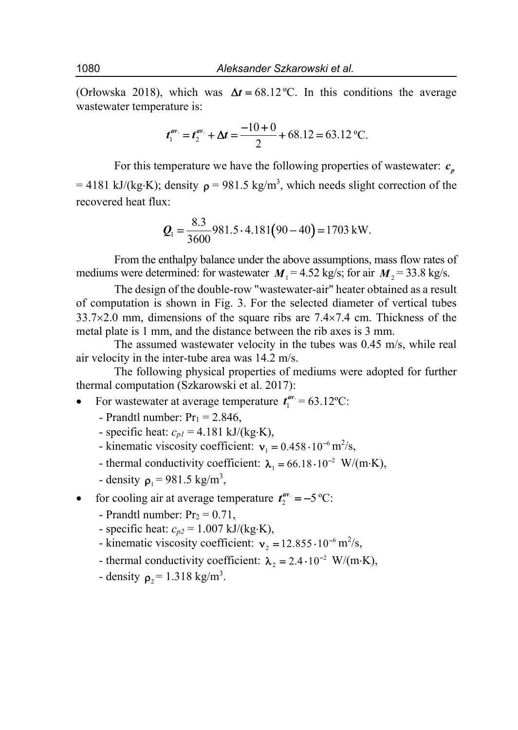(Orłowska 2018), which was  $\Delta t = 68.12$  °C. In this conditions the average wastewater temperature is:

$$
t_1^{av.} = t_2^{av.} + \Delta t = \frac{-10 + 0}{2} + 68.12 = 63.12 \text{ °C}.
$$

For this temperature we have the following properties of wastewater:  $c_p$  $= 4181 \text{ kJ/(kg·K)}$ ; density  $\rho = 981.5 \text{ kg/m}^3$ , which needs slight correction of the recovered heat flux:

$$
Q_{1} = \frac{8.3}{3600}981.5 \cdot 4.181(90 - 40) = 1703 \text{ kW}.
$$

From the enthalpy balance under the above assumptions, mass flow rates of mediums were determined: for wastewater  $M_1 = 4.52$  kg/s; for air  $M_2 = 33.8$  kg/s.

The design of the double-row "wastewater-air" heater obtained as a result of computation is shown in Fig. 3. For the selected diameter of vertical tubes  $33.7 \times 2.0$  mm, dimensions of the square ribs are 7.4 $\times$ 7.4 cm. Thickness of the metal plate is 1 mm, and the distance between the rib axes is 3 mm.

The assumed wastewater velocity in the tubes was 0.45 m/s, while real air velocity in the inter-tube area was 14.2 m/s.

The following physical properties of mediums were adopted for further thermal computation (Szkarowski et al. 2017):

- For wastewater at average temperature  $t_1^{av} = 63.12$ °C:
	- Prandtl number:  $Pr_1 = 2.846$ ,
	- specific heat:  $c_{p1} = 4.181$  kJ/(kg·K),
	- kinematic viscosity coefficient:  $v_1 = 0.458 \cdot 10^{-6} \text{ m}^2/\text{s}$ ,
	- thermal conductivity coefficient:  $\lambda_1 = 66.18 \cdot 10^{-2}$  W/(m·K),
	- density  $\rho_1 = 981.5 \text{ kg/m}^3$ ,
- for cooling air at average temperature  $t_2^{av} = -5$  °C:
	- Prandtl number:  $Pr<sub>2</sub> = 0.71$ ,
	- specific heat:  $c_{p2} = 1.007 \text{ kJ/(kg·K)}$ ,
	- kinematic viscosity coefficient:  $v_2 = 12.855 \cdot 10^{-6} \text{ m}^2/\text{s}$ ,
	- thermal conductivity coefficient:  $\lambda_2 = 2.4 \cdot 10^{-2}$  W/(m·K),
	- density  $\rho_2 = 1.318 \text{ kg/m}^3$ .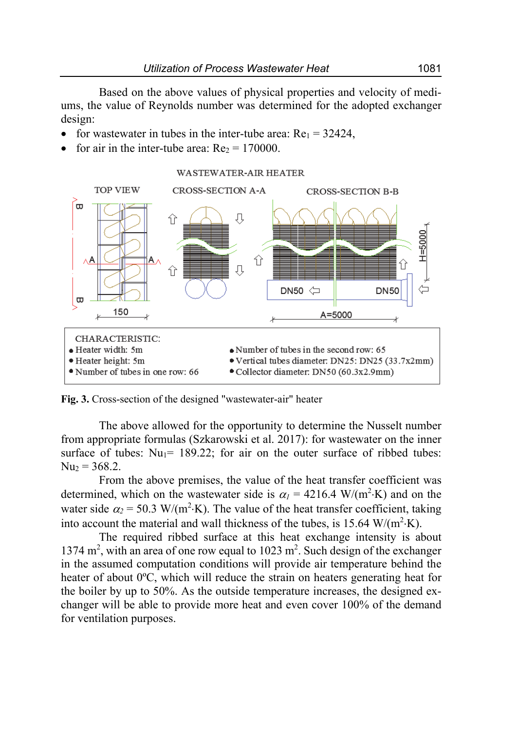Based on the above values of physical properties and velocity of mediums, the value of Reynolds number was determined for the adopted exchanger design:

- for wastewater in tubes in the inter-tube area:  $Re_1 = 32424$ ,
- for air in the inter-tube area:  $Re<sub>2</sub> = 170000$ .



**Fig. 3.** Cross-section of the designed "wastewater-air" heater

The above allowed for the opportunity to determine the Nusselt number from appropriate formulas (Szkarowski et al. 2017): for wastewater on the inner surface of tubes:  $Nu_1$ = 189.22; for air on the outer surface of ribbed tubes:  $Nu<sub>2</sub> = 368.2$ .

From the above premises, the value of the heat transfer coefficient was determined, which on the wastewater side is  $\alpha_l = 4216.4 \text{ W/(m}^2 \cdot \text{K)}$  and on the water side  $\alpha_2$  = 50.3 W/(m<sup>2</sup>·K). The value of the heat transfer coefficient, taking into account the material and wall thickness of the tubes, is 15.64  $W/(m^2 \cdot K)$ .

The required ribbed surface at this heat exchange intensity is about 1374  $m^2$ , with an area of one row equal to 1023  $m^2$ . Such design of the exchanger in the assumed computation conditions will provide air temperature behind the heater of about 0ºC, which will reduce the strain on heaters generating heat for the boiler by up to 50%. As the outside temperature increases, the designed exchanger will be able to provide more heat and even cover 100% of the demand for ventilation purposes.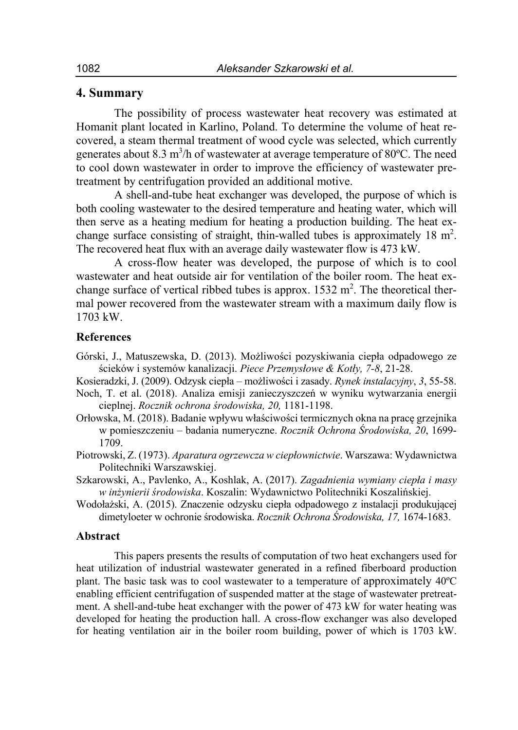# **4. Summary**

The possibility of process wastewater heat recovery was estimated at Homanit plant located in Karlino, Poland. To determine the volume of heat recovered, a steam thermal treatment of wood cycle was selected, which currently generates about 8.3 m<sup>3</sup>/h of wastewater at average temperature of 80 $^{\circ}$ C. The need to cool down wastewater in order to improve the efficiency of wastewater pretreatment by centrifugation provided an additional motive.

A shell-and-tube heat exchanger was developed, the purpose of which is both cooling wastewater to the desired temperature and heating water, which will then serve as a heating medium for heating a production building. The heat exchange surface consisting of straight, thin-walled tubes is approximately  $18 \text{ m}^2$ . The recovered heat flux with an average daily wastewater flow is 473 kW.

A cross-flow heater was developed, the purpose of which is to cool wastewater and heat outside air for ventilation of the boiler room. The heat exchange surface of vertical ribbed tubes is approx.  $1532 \text{ m}^2$ . The theoretical thermal power recovered from the wastewater stream with a maximum daily flow is 1703 kW.

### **References**

- Górski, J., Matuszewska, D. (2013). Możliwości pozyskiwania ciepła odpadowego ze ścieków i systemów kanalizacji. *Piece Przemysłowe & Kotły, 7-8*, 21-28.
- Kosieradzki, J. (2009). Odzysk ciepła możliwości i zasady. *Rynek instalacyjny*, *3*, 55-58.
- Noch, T. et al. (2018). Analiza emisji zanieczyszczeń w wyniku wytwarzania energii cieplnej. *Rocznik ochrona środowiska, 20,* 1181-1198.
- Orłowska, M. (2018). Badanie wpływu właściwości termicznych okna na pracę grzejnika w pomieszczeniu – badania numeryczne. *Rocznik Ochrona Środowiska, 20*, 1699- 1709.
- Piotrowski, Z. (1973). *Aparatura ogrzewcza w ciepłownictwie*. Warszawa: Wydawnictwa Politechniki Warszawskiej.
- Szkarowski, A., Pavlenko, A., Koshlak, A. (2017). *Zagadnienia wymiany ciepła i masy w inżynierii środowiska*. Koszalin: Wydawnictwo Politechniki Koszalińskiej.
- Wodołażski, A. (2015). Znaczenie odzysku ciepła odpadowego z instalacji produkującej dimetyloeter w ochronie środowiska. *Rocznik Ochrona Środowiska, 17,* 1674-1683.

# **Abstract**

This papers presents the results of computation of two heat exchangers used for heat utilization of industrial wastewater generated in a refined fiberboard production plant. The basic task was to cool wastewater to a temperature of approximately 40ºC enabling efficient centrifugation of suspended matter at the stage of wastewater pretreatment. A shell-and-tube heat exchanger with the power of 473 kW for water heating was developed for heating the production hall. A cross-flow exchanger was also developed for heating ventilation air in the boiler room building, power of which is 1703 kW.